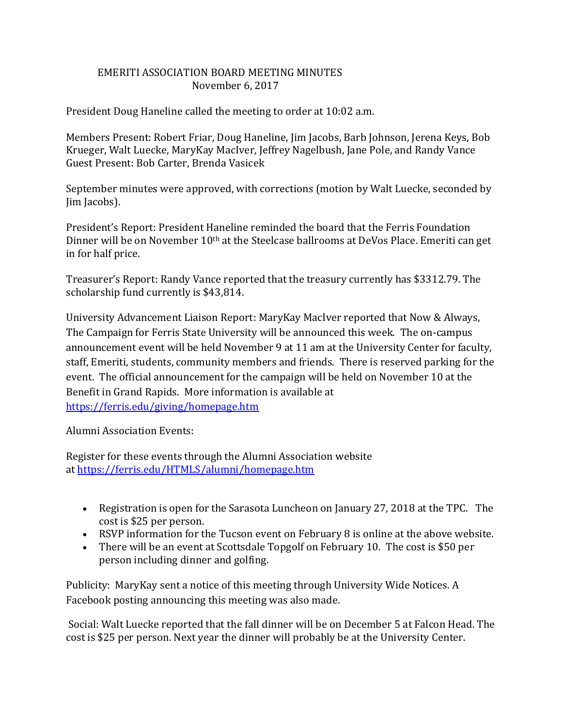## EMERITI ASSOCIATION BOARD MEETING MINUTES November 6, 2017

President Doug Haneline called the meeting to order at 10:02 a.m.

Members Present: Robert Friar, Doug Haneline, Jim Jacobs, Barb Johnson, Jerena Keys, Bob Krueger, Walt Luecke, MaryKay MacIver, Jeffrey Nagelbush, Jane Pole, and Randy Vance Guest Present: Bob Carter, Brenda Vasicek

September minutes were approved, with corrections (motion by Walt Luecke, seconded by Jim Jacobs).

President's Report: President Haneline reminded the board that the Ferris Foundation Dinner will be on November 10<sup>th</sup> at the Steelcase ballrooms at DeVos Place. Emeriti can get in for half price.

Treasurer's Report: Randy Vance reported that the treasury currently has \$3312.79. The scholarship fund currently is \$43,814.

University Advancement Liaison Report: MaryKay MacIver reported that Now & Always, The Campaign for Ferris State University will be announced this week. The on-campus announcement event will be held November 9 at 11 am at the University Center for faculty, staff, Emeriti, students, community members and friends. There is reserved parking for the event. The official announcement for the campaign will be held on November 10 at the Benefit in Grand Rapids. More information is available at <https://ferris.edu/giving/homepage.htm>

Alumni Association Events:

Register for these events through the Alumni Association website at <https://ferris.edu/HTMLS/alumni/homepage.htm>

- Registration is open for the Sarasota Luncheon on January 27, 2018 at the TPC. The cost is \$25 per person.
- RSVP information for the Tucson event on February 8 is online at the above website.
- There will be an event at Scottsdale Topgolf on February 10. The cost is \$50 per person including dinner and golfing.

Publicity: MaryKay sent a notice of this meeting through University Wide Notices. A Facebook posting announcing this meeting was also made.

Social: Walt Luecke reported that the fall dinner will be on December 5 at Falcon Head. The cost is \$25 per person. Next year the dinner will probably be at the University Center.